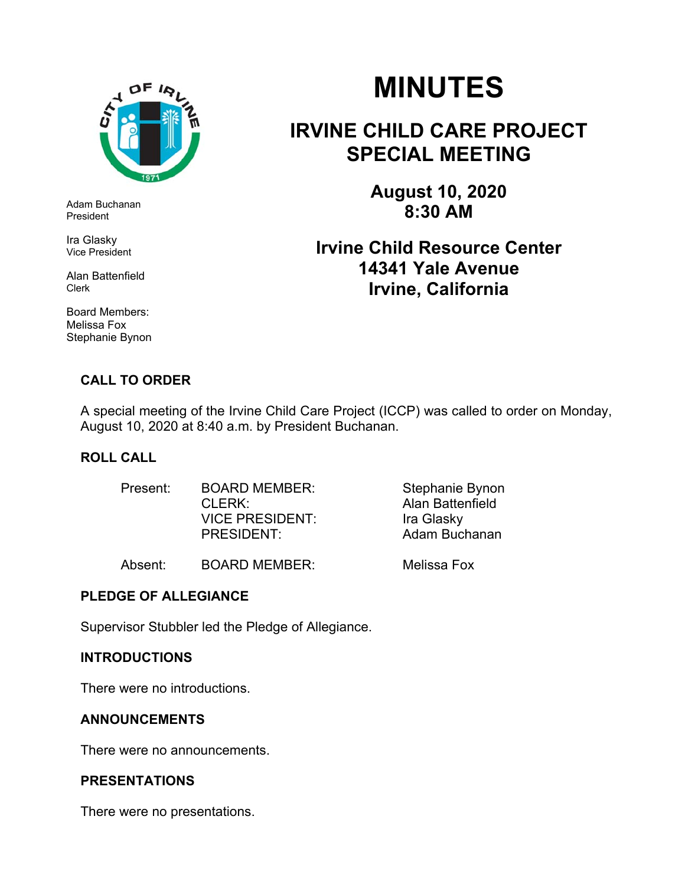

Adam Buchanan President

Ira Glasky Vice President

Alan Battenfield Clerk

Board Members: Melissa Fox Stephanie Bynon

### **CALL TO ORDER**

# **MINUTES**

# **IRVINE CHILD CARE PROJECT SPECIAL MEETING**

**August 10, 2020 8:30 AM** 

## **Irvine Child Resource Center 14341 Yale Avenue Irvine, California**

A special meeting of the Irvine Child Care Project (ICCP) was called to order on Monday, August 10, 2020 at 8:40 a.m. by President Buchanan.

#### **ROLL CALL**

| Present: | <b>BOARD MEMBER:</b>   | Stephanie Bynon         |
|----------|------------------------|-------------------------|
|          | CLERK:                 | <b>Alan Battenfield</b> |
|          | <b>VICE PRESIDENT:</b> | Ira Glasky              |
|          | <b>PRESIDENT:</b>      | Adam Buchanan           |
|          |                        |                         |

Absent: BOARD MEMBER: Melissa Fox

#### **PLEDGE OF ALLEGIANCE**

Supervisor Stubbler led the Pledge of Allegiance.

#### **INTRODUCTIONS**

There were no introductions.

#### **ANNOUNCEMENTS**

There were no announcements.

#### **PRESENTATIONS**

There were no presentations.